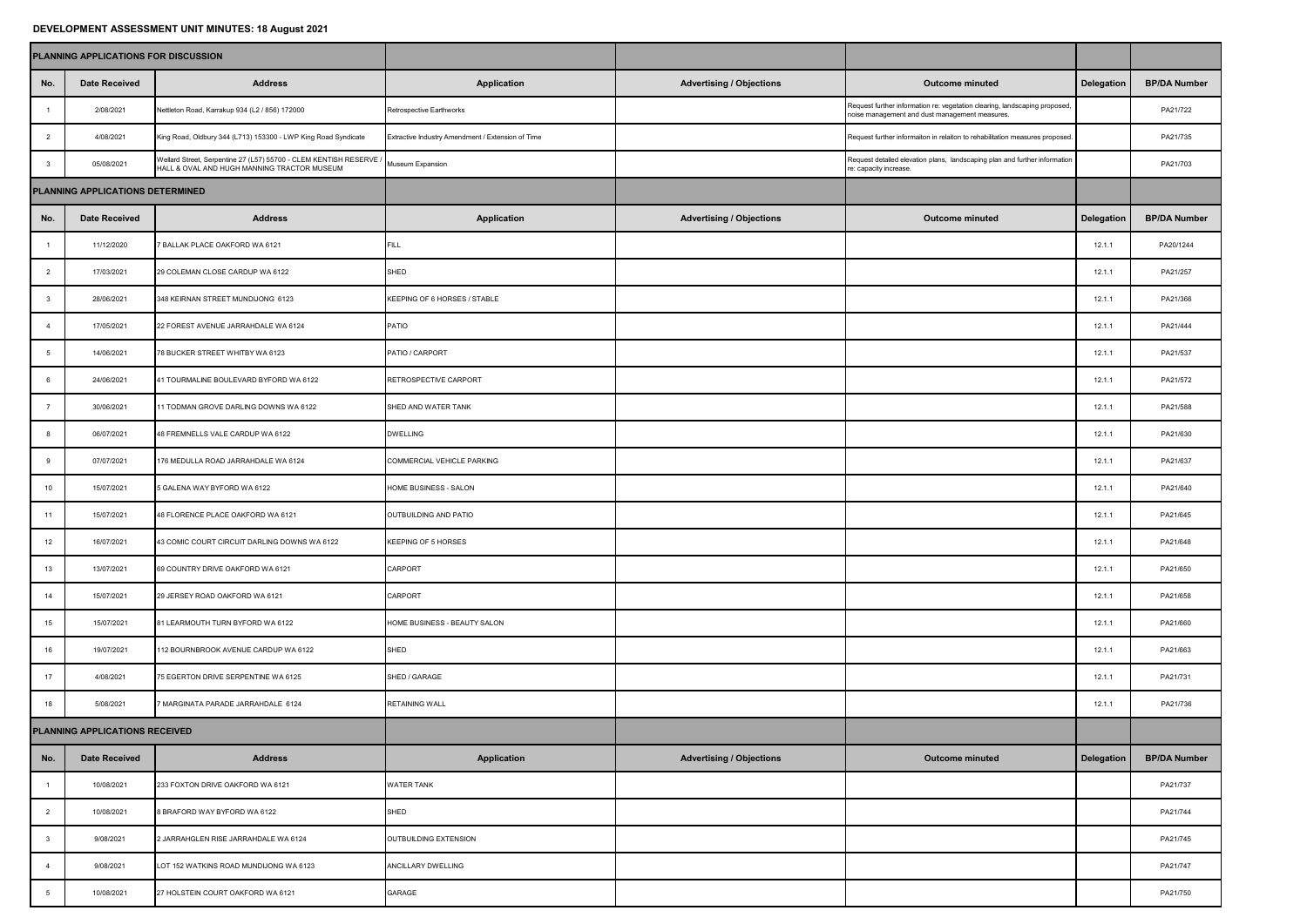## **DEVELOPMENT ASSESSMENT UNIT MINUTES: 18 August 2021**

|                | PLANNING APPLICATIONS FOR DISCUSSION |                                                                                                                   |                                                   |                                 |                                                                                                                              |            |                     |
|----------------|--------------------------------------|-------------------------------------------------------------------------------------------------------------------|---------------------------------------------------|---------------------------------|------------------------------------------------------------------------------------------------------------------------------|------------|---------------------|
| No.            | <b>Date Received</b>                 | <b>Address</b>                                                                                                    | <b>Application</b>                                | <b>Advertising / Objections</b> | <b>Outcome minuted</b>                                                                                                       | Delegation | <b>BP/DA Number</b> |
| $\overline{1}$ | 2/08/2021                            | Nettleton Road, Karrakup 934 (L2 / 856) 172000                                                                    | Retrospective Earthworks                          |                                 | Request further information re: vegetation clearing, landscaping proposed,<br>noise management and dust management measures. |            | PA21/722            |
| $\overline{2}$ | 4/08/2021                            | King Road, Oldbury 344 (L713) 153300 - LWP King Road Syndicate                                                    | Extractive Industry Amendment / Extension of Time |                                 | Request further informaiton in relaiton to rehabilitation measures proposed.                                                 |            | PA21/735            |
| $\mathbf{3}$   | 05/08/2021                           | Wellard Street, Serpentine 27 (L57) 55700 - CLEM KENTISH RESERVE /<br>HALL & OVAL AND HUGH MANNING TRACTOR MUSEUM | Museum Expansion                                  |                                 | Request detailed elevation plans, landscaping plan and further information<br>re: capacity increase.                         |            | PA21/703            |
|                | PLANNING APPLICATIONS DETERMINED     |                                                                                                                   |                                                   |                                 |                                                                                                                              |            |                     |
| No.            | <b>Date Received</b>                 | <b>Address</b>                                                                                                    | <b>Application</b>                                | <b>Advertising / Objections</b> | <b>Outcome minuted</b>                                                                                                       | Delegation | <b>BP/DA Number</b> |
| $\overline{1}$ | 11/12/2020                           | <b>BALLAK PLACE OAKFORD WA 6121</b>                                                                               | FILL.                                             |                                 |                                                                                                                              | 12.1.1     | PA20/1244           |
| $\overline{2}$ | 17/03/2021                           | 29 COLEMAN CLOSE CARDUP WA 6122                                                                                   | SHED                                              |                                 |                                                                                                                              | 12.1.1     | PA21/257            |
| $\mathbf{3}$   | 28/06/2021                           | 348 KEIRNAN STREET MUNDIJONG 6123                                                                                 | KEEPING OF 6 HORSES / STABLE                      |                                 |                                                                                                                              | 12.1.1     | PA21/366            |
| $\overline{4}$ | 17/05/2021                           | 22 FOREST AVENUE JARRAHDALE WA 6124                                                                               | PATIO                                             |                                 |                                                                                                                              | 12.1.1     | PA21/444            |
| -5             | 14/06/2021                           | 78 BUCKER STREET WHITBY WA 6123                                                                                   | PATIO / CARPORT                                   |                                 |                                                                                                                              | 12.1.1     | PA21/537            |
| 6              | 24/06/2021                           | 41 TOURMALINE BOULEVARD BYFORD WA 6122                                                                            | RETROSPECTIVE CARPORT                             |                                 |                                                                                                                              | 12.1.1     | PA21/572            |
| $\overline{7}$ | 30/06/2021                           | 11 TODMAN GROVE DARLING DOWNS WA 6122                                                                             | SHED AND WATER TANK                               |                                 |                                                                                                                              | 12.1.1     | PA21/588            |
| 8              | 06/07/2021                           | 48 FREMNELLS VALE CARDUP WA 6122                                                                                  | <b>DWELLING</b>                                   |                                 |                                                                                                                              | 12.1.1     | PA21/630            |
| 9              | 07/07/2021                           | 176 MEDULLA ROAD JARRAHDALE WA 6124                                                                               | COMMERCIAL VEHICLE PARKING                        |                                 |                                                                                                                              | 12.1.1     | PA21/637            |
| 10             | 15/07/2021                           | 5 GALENA WAY BYFORD WA 6122                                                                                       | HOME BUSINESS - SALON                             |                                 |                                                                                                                              | 12.1.1     | PA21/640            |
| 11             | 15/07/2021                           | 48 FLORENCE PLACE OAKFORD WA 6121                                                                                 | OUTBUILDING AND PATIO                             |                                 |                                                                                                                              | 12.1.1     | PA21/645            |
| 12             | 16/07/2021                           | 43 COMIC COURT CIRCUIT DARLING DOWNS WA 6122                                                                      | <b>KEEPING OF 5 HORSES</b>                        |                                 |                                                                                                                              | 12.1.1     | PA21/648            |
| 13             | 13/07/2021                           | 69 COUNTRY DRIVE OAKFORD WA 6121                                                                                  | CARPORT                                           |                                 |                                                                                                                              | 12.1.1     | PA21/650            |
| 14             | 15/07/2021                           | 29 JERSEY ROAD OAKFORD WA 6121                                                                                    | CARPORT                                           |                                 |                                                                                                                              | 12.1.1     | PA21/658            |
| 15             | 15/07/2021                           | 81 LEARMOUTH TURN BYFORD WA 6122                                                                                  | HOME BUSINESS - BEAUTY SALON                      |                                 |                                                                                                                              | 12.1.1     | PA21/660            |
| 16             | 19/07/2021                           | 112 BOURNBROOK AVENUE CARDUP WA 6122                                                                              | SHED                                              |                                 |                                                                                                                              | 12.1.1     | PA21/663            |
| 17             | 4/08/2021                            | 75 EGERTON DRIVE SERPENTINE WA 6125                                                                               | SHED / GARAGE                                     |                                 |                                                                                                                              | 12.1.1     | PA21/731            |
| 18             | 5/08/2021                            | MARGINATA PARADE JARRAHDALE 6124                                                                                  | RETAINING WALL                                    |                                 |                                                                                                                              | 12.1.1     | PA21/736            |
|                | PLANNING APPLICATIONS RECEIVED       |                                                                                                                   |                                                   |                                 |                                                                                                                              |            |                     |
| No.            | <b>Date Received</b>                 | <b>Address</b>                                                                                                    | Application                                       | <b>Advertising / Objections</b> | <b>Outcome minuted</b>                                                                                                       | Delegation | <b>BP/DA Number</b> |
| $\overline{1}$ | 10/08/2021                           | 233 FOXTON DRIVE OAKFORD WA 6121                                                                                  | WATER TANK                                        |                                 |                                                                                                                              |            | PA21/737            |
| $\overline{2}$ | 10/08/2021                           | 8 BRAFORD WAY BYFORD WA 6122                                                                                      | SHED                                              |                                 |                                                                                                                              |            | PA21/744            |
| $\mathbf{3}$   | 9/08/2021                            | 2 JARRAHGLEN RISE JARRAHDALE WA 6124                                                                              | OUTBUILDING EXTENSION                             |                                 |                                                                                                                              |            | PA21/745            |
| $\overline{4}$ | 9/08/2021                            | LOT 152 WATKINS ROAD MUNDIJONG WA 6123                                                                            | ANCILLARY DWELLING                                |                                 |                                                                                                                              |            | PA21/747            |
| 5              | 10/08/2021                           | 27 HOLSTEIN COURT OAKFORD WA 6121                                                                                 | GARAGE                                            |                                 |                                                                                                                              |            | PA21/750            |